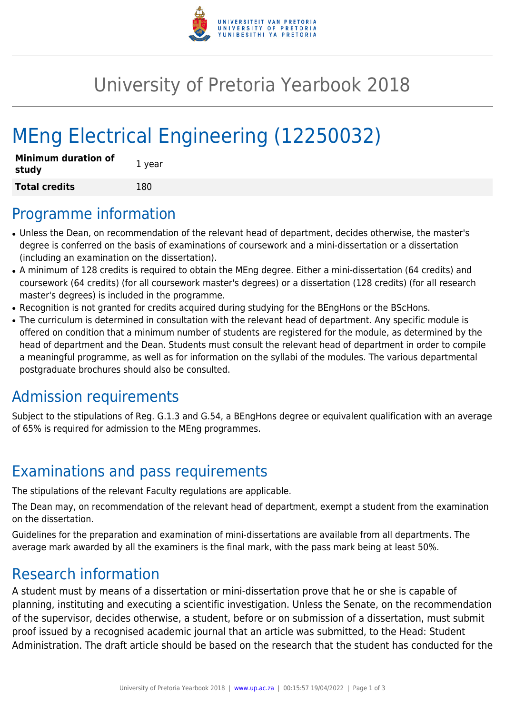

## University of Pretoria Yearbook 2018

# MEng Electrical Engineering (12250032)

| <b>Minimum duration of</b><br>study | 1 year |
|-------------------------------------|--------|
| <b>Total credits</b>                | 180    |

#### Programme information

- Unless the Dean, on recommendation of the relevant head of department, decides otherwise, the master's degree is conferred on the basis of examinations of coursework and a mini-dissertation or a dissertation (including an examination on the dissertation).
- A minimum of 128 credits is required to obtain the MEng degree. Either a mini-dissertation (64 credits) and coursework (64 credits) (for all coursework master's degrees) or a dissertation (128 credits) (for all research master's degrees) is included in the programme.
- Recognition is not granted for credits acquired during studying for the BEngHons or the BScHons.
- The curriculum is determined in consultation with the relevant head of department. Any specific module is offered on condition that a minimum number of students are registered for the module, as determined by the head of department and the Dean. Students must consult the relevant head of department in order to compile a meaningful programme, as well as for information on the syllabi of the modules. The various departmental postgraduate brochures should also be consulted.

### Admission requirements

Subject to the stipulations of Reg. G.1.3 and G.54, a BEngHons degree or equivalent qualification with an average of 65% is required for admission to the MEng programmes.

### Examinations and pass requirements

The stipulations of the relevant Faculty regulations are applicable.

The Dean may, on recommendation of the relevant head of department, exempt a student from the examination on the dissertation.

Guidelines for the preparation and examination of mini-dissertations are available from all departments. The average mark awarded by all the examiners is the final mark, with the pass mark being at least 50%.

#### Research information

A student must by means of a dissertation or mini-dissertation prove that he or she is capable of planning, instituting and executing a scientific investigation. Unless the Senate, on the recommendation of the supervisor, decides otherwise, a student, before or on submission of a dissertation, must submit proof issued by a recognised academic journal that an article was submitted, to the Head: Student Administration. The draft article should be based on the research that the student has conducted for the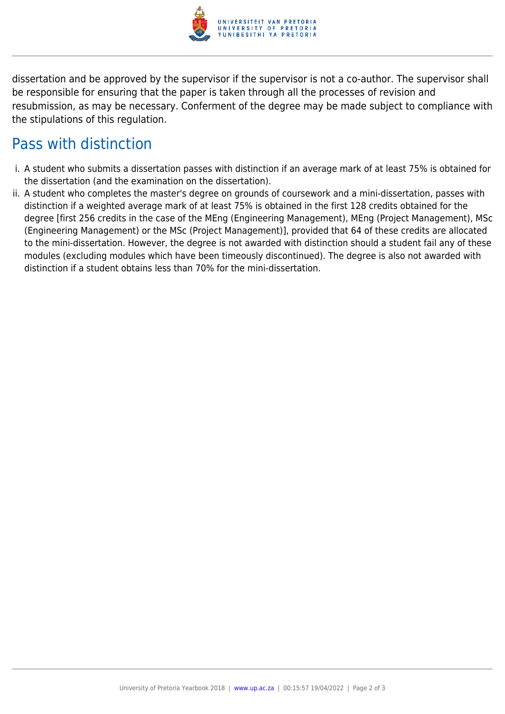

dissertation and be approved by the supervisor if the supervisor is not a co-author. The supervisor shall be responsible for ensuring that the paper is taken through all the processes of revision and resubmission, as may be necessary. Conferment of the degree may be made subject to compliance with the stipulations of this regulation.

#### Pass with distinction

- i. A student who submits a dissertation passes with distinction if an average mark of at least 75% is obtained for the dissertation (and the examination on the dissertation).
- ii. A student who completes the master's degree on grounds of coursework and a mini-dissertation, passes with distinction if a weighted average mark of at least 75% is obtained in the first 128 credits obtained for the degree [first 256 credits in the case of the MEng (Engineering Management), MEng (Project Management), MSc (Engineering Management) or the MSc (Project Management)], provided that 64 of these credits are allocated to the mini-dissertation. However, the degree is not awarded with distinction should a student fail any of these modules (excluding modules which have been timeously discontinued). The degree is also not awarded with distinction if a student obtains less than 70% for the mini-dissertation.